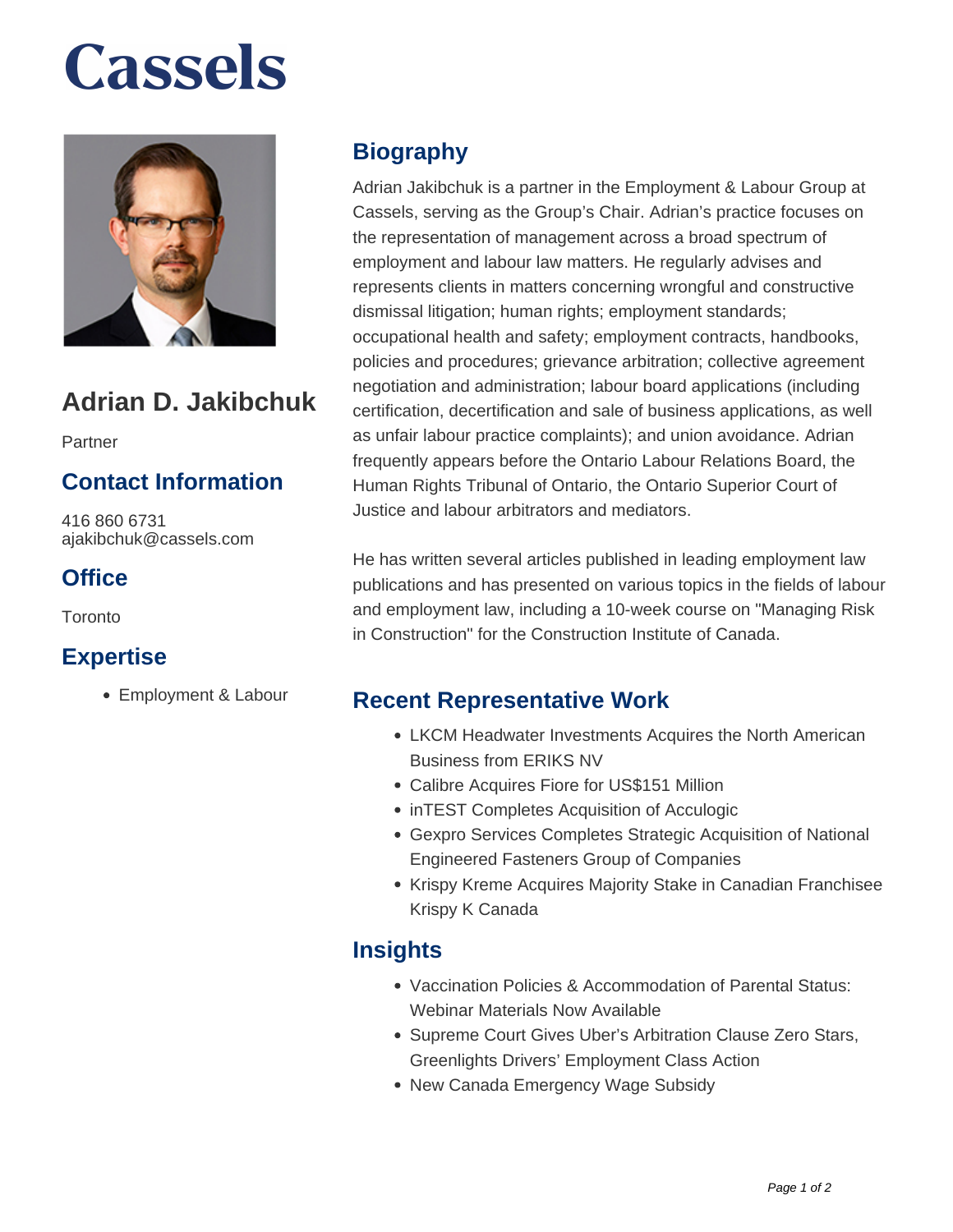# **Cassels**



### **Adrian D. Jakibchuk**

Partner

#### **Contact Information**

416 860 6731 ajakibchuk@cassels.com

#### **Office**

Toronto

#### **Expertise**

Employment & Labour

#### **Biography**

Adrian Jakibchuk is a partner in the Employment & Labour Group at Cassels, serving as the Group's Chair. Adrian's practice focuses on the representation of management across a broad spectrum of employment and labour law matters. He regularly advises and represents clients in matters concerning wrongful and constructive dismissal litigation; human rights; employment standards; occupational health and safety; employment contracts, handbooks, policies and procedures; grievance arbitration; collective agreement negotiation and administration; labour board applications (including certification, decertification and sale of business applications, as well as unfair labour practice complaints); and union avoidance. Adrian frequently appears before the Ontario Labour Relations Board, the Human Rights Tribunal of Ontario, the Ontario Superior Court of Justice and labour arbitrators and mediators.

He has written several articles published in leading employment law publications and has presented on various topics in the fields of labour and employment law, including a 10-week course on "Managing Risk in Construction" for the Construction Institute of Canada.

#### **Recent Representative Work**

- LKCM Headwater Investments Acquires the North American Business from ERIKS NV
- Calibre Acquires Fiore for US\$151 Million
- inTEST Completes Acquisition of Acculogic
- Gexpro Services Completes Strategic Acquisition of National Engineered Fasteners Group of Companies
- Krispy Kreme Acquires Majority Stake in Canadian Franchisee Krispy K Canada

#### **Insights**

- Vaccination Policies & Accommodation of Parental Status: Webinar Materials Now Available
- Supreme Court Gives Uber's Arbitration Clause Zero Stars, Greenlights Drivers' Employment Class Action
- New Canada Emergency Wage Subsidy